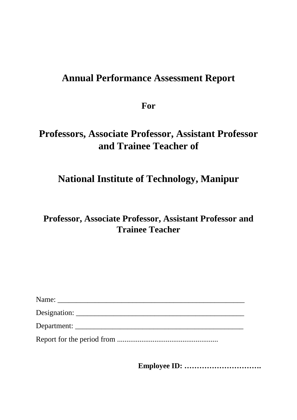# **Annual Performance Assessment Report**

**For**

# **Professors, Associate Professor, Assistant Professor and Trainee Teacher of**

# **National Institute of Technology, Manipur**

# **Professor, Associate Professor, Assistant Professor and Trainee Teacher**

| Name:       |
|-------------|
|             |
| Department: |
|             |

**Employee ID: ………………………….**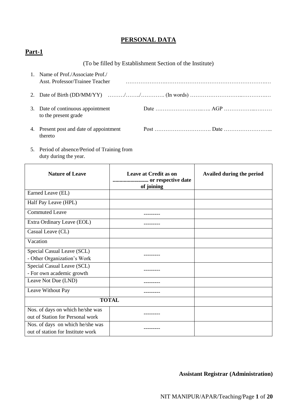## **PERSONAL DATA**

## **Part-1**

## (To be filled by Establishment Section of the Institute)

| 1. Name of Prof./Associate Prof./<br>Asst. Professor/Trainee Teacher |  |
|----------------------------------------------------------------------|--|
|                                                                      |  |
| 3. Date of continuous appointment<br>to the present grade            |  |
| 4. Present post and date of appointment<br>thereto                   |  |

5. Period of absence/Period of Training from duty during the year.

| <b>Nature of Leave</b>                                                | <b>Leave at Credit as on</b><br>or respective date<br>of joining | Availed during the period |
|-----------------------------------------------------------------------|------------------------------------------------------------------|---------------------------|
| Earned Leave (EL)                                                     |                                                                  |                           |
| Half Pay Leave (HPL)                                                  |                                                                  |                           |
| <b>Commuted Leave</b>                                                 |                                                                  |                           |
| Extra Ordinary Leave (EOL)                                            |                                                                  |                           |
| Casual Leave (CL)                                                     |                                                                  |                           |
| Vacation                                                              |                                                                  |                           |
| Special Casual Leave (SCL)<br>- Other Organization's Work             |                                                                  |                           |
| Special Casual Leave (SCL)<br>- For own academic growth               |                                                                  |                           |
| Leave Not Due (LND)                                                   |                                                                  |                           |
| Leave Without Pay                                                     |                                                                  |                           |
|                                                                       | <b>TOTAL</b>                                                     |                           |
| Nos. of days on which he/she was<br>out of Station for Personal work  |                                                                  |                           |
| Nos. of days on which he/she was<br>out of station for Institute work |                                                                  |                           |

**Assistant Registrar (Administration)**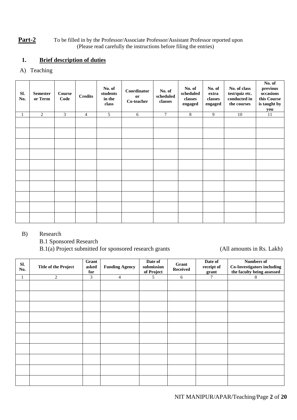#### **Part-2** To be filled in by the Professor/Associate Professor/Assistant Professor reported upon (Please read carefully the instructions before filing the entries)

## **1. Brief description of duties**

## A) Teaching

| SI.<br>No. | <b>Semester</b><br>or Term | Course<br>Code | <b>Credits</b> | No. of<br>students<br>in the<br>class | Coordinator<br>or<br>Co-teacher | No. of<br>scheduled<br>classes | No. of<br>scheduled<br>classes<br>engaged | No. of<br>extra<br>$\operatorname{classes}$<br>engaged | No. of class<br>test/quiz etc.<br>conducted in<br>the courses | No. of<br>previous<br>occasions<br>this Course<br>is taught by<br>you |
|------------|----------------------------|----------------|----------------|---------------------------------------|---------------------------------|--------------------------------|-------------------------------------------|--------------------------------------------------------|---------------------------------------------------------------|-----------------------------------------------------------------------|
| 1          | 2                          | 3              | $\overline{4}$ | $5^{\circ}$                           | 6                               | $\overline{7}$                 | 8                                         | 9                                                      | 10                                                            | 11                                                                    |
|            |                            |                |                |                                       |                                 |                                |                                           |                                                        |                                                               |                                                                       |
|            |                            |                |                |                                       |                                 |                                |                                           |                                                        |                                                               |                                                                       |
|            |                            |                |                |                                       |                                 |                                |                                           |                                                        |                                                               |                                                                       |
|            |                            |                |                |                                       |                                 |                                |                                           |                                                        |                                                               |                                                                       |
|            |                            |                |                |                                       |                                 |                                |                                           |                                                        |                                                               |                                                                       |
|            |                            |                |                |                                       |                                 |                                |                                           |                                                        |                                                               |                                                                       |
|            |                            |                |                |                                       |                                 |                                |                                           |                                                        |                                                               |                                                                       |
|            |                            |                |                |                                       |                                 |                                |                                           |                                                        |                                                               |                                                                       |
|            |                            |                |                |                                       |                                 |                                |                                           |                                                        |                                                               |                                                                       |
|            |                            |                |                |                                       |                                 |                                |                                           |                                                        |                                                               |                                                                       |

#### B) Research

B.1 Sponsored Research

B.1(a) Project submitted for sponsored research grants (All amounts in Rs. Lakh)

| Sl.<br>No. | <b>Title of the Project</b> | Grant<br>asked<br>for | <b>Funding Agency</b> | Date of<br>submission<br>of Project | Grant<br><b>Received</b> | Date of<br>receipt of<br>grant | <b>Numbers of</b><br><b>Co-Investigators including</b><br>the faculty being assessed |
|------------|-----------------------------|-----------------------|-----------------------|-------------------------------------|--------------------------|--------------------------------|--------------------------------------------------------------------------------------|
|            | $\overline{2}$              | 3                     | $\overline{4}$        | 5                                   | 6                        | 7                              | 8                                                                                    |
|            |                             |                       |                       |                                     |                          |                                |                                                                                      |
|            |                             |                       |                       |                                     |                          |                                |                                                                                      |
|            |                             |                       |                       |                                     |                          |                                |                                                                                      |
|            |                             |                       |                       |                                     |                          |                                |                                                                                      |
|            |                             |                       |                       |                                     |                          |                                |                                                                                      |
|            |                             |                       |                       |                                     |                          |                                |                                                                                      |
|            |                             |                       |                       |                                     |                          |                                |                                                                                      |
|            |                             |                       |                       |                                     |                          |                                |                                                                                      |
|            |                             |                       |                       |                                     |                          |                                |                                                                                      |
|            |                             |                       |                       |                                     |                          |                                |                                                                                      |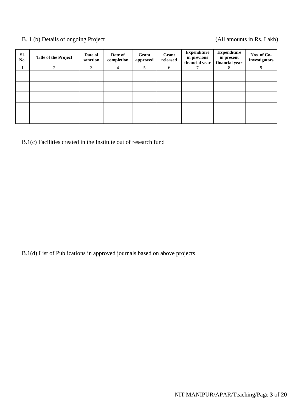## B. 1 (b) Details of ongoing Project (All amounts in Rs. Lakh)

| SI.<br>No. | <b>Title of the Project</b> | Date of<br>sanction | Date of<br>completion | Grant<br>approved | Grant<br>released | <b>Expenditure</b><br>in previous<br>financial year | <b>Expenditure</b><br>in present<br>financial year | Nos. of Co-<br><b>Investigators</b> |
|------------|-----------------------------|---------------------|-----------------------|-------------------|-------------------|-----------------------------------------------------|----------------------------------------------------|-------------------------------------|
|            | 2                           | 3                   | 4                     | 5                 | 6                 |                                                     | 8                                                  | 9                                   |
|            |                             |                     |                       |                   |                   |                                                     |                                                    |                                     |
|            |                             |                     |                       |                   |                   |                                                     |                                                    |                                     |
|            |                             |                     |                       |                   |                   |                                                     |                                                    |                                     |
|            |                             |                     |                       |                   |                   |                                                     |                                                    |                                     |
|            |                             |                     |                       |                   |                   |                                                     |                                                    |                                     |

B.1(c) Facilities created in the Institute out of research fund

B.1(d) List of Publications in approved journals based on above projects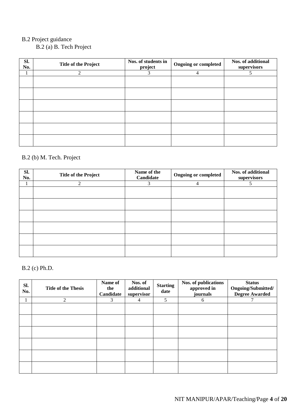## B.2 Project guidance

B.2 (a) B. Tech Project

| Sl.<br>No. | <b>Title of the Project</b> | Nos. of students in<br>project | <b>Ongoing or completed</b> | Nos. of additional<br>supervisors |
|------------|-----------------------------|--------------------------------|-----------------------------|-----------------------------------|
|            | $\mathfrak{D}$              | 3                              | 4                           | 5                                 |
|            |                             |                                |                             |                                   |
|            |                             |                                |                             |                                   |
|            |                             |                                |                             |                                   |
|            |                             |                                |                             |                                   |
|            |                             |                                |                             |                                   |
|            |                             |                                |                             |                                   |

## B.2 (b) M. Tech. Project

| SI.<br>No. | <b>Title of the Project</b> | Name of the<br><b>Ongoing or completed</b><br>Candidate |   |  |  |
|------------|-----------------------------|---------------------------------------------------------|---|--|--|
|            | $\overline{c}$              | 3                                                       | 4 |  |  |
|            |                             |                                                         |   |  |  |
|            |                             |                                                         |   |  |  |
|            |                             |                                                         |   |  |  |
|            |                             |                                                         |   |  |  |
|            |                             |                                                         |   |  |  |
|            |                             |                                                         |   |  |  |

## B.2 (c) Ph.D.

| Sl.<br>No. | <b>Title of the Thesis</b> | Name of<br>the<br>Candidate | Nos. of<br>additional<br>supervisor | <b>Starting</b><br>date | Nos. of publications<br>approved in<br>journals | <b>Status</b><br>Ongoing/Submitted/<br><b>Degree Awarded</b> |
|------------|----------------------------|-----------------------------|-------------------------------------|-------------------------|-------------------------------------------------|--------------------------------------------------------------|
|            | 2                          | 3                           | 4                                   | 5                       | 6                                               | 7                                                            |
|            |                            |                             |                                     |                         |                                                 |                                                              |
|            |                            |                             |                                     |                         |                                                 |                                                              |
|            |                            |                             |                                     |                         |                                                 |                                                              |
|            |                            |                             |                                     |                         |                                                 |                                                              |
|            |                            |                             |                                     |                         |                                                 |                                                              |
|            |                            |                             |                                     |                         |                                                 |                                                              |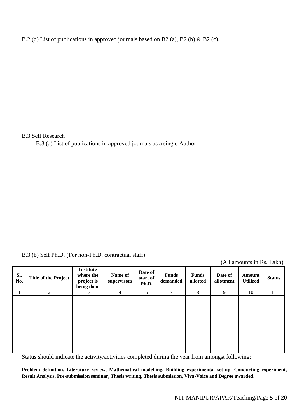B.2 (d) List of publications in approved journals based on B2 (a), B2 (b) & B2 (c).

B.3 Self Research

B.3 (a) List of publications in approved journals as a single Author

B.3 (b) Self Ph.D. (For non-Ph.D. contractual staff)

(All amounts in Rs. Lakh)

| Sl.<br>No. | <b>Title of the Project</b> | <b>Institute</b><br>where the<br>project is<br>being done | Name of<br>supervisors | Date of<br>start of<br>Ph.D. | <b>Funds</b><br>demanded | <b>Funds</b><br>allotted | Date of<br>allotment | Amount<br><b>Utilized</b> | <b>Status</b> |
|------------|-----------------------------|-----------------------------------------------------------|------------------------|------------------------------|--------------------------|--------------------------|----------------------|---------------------------|---------------|
|            | 2                           | 3                                                         | $\overline{4}$         | 5                            | $\mathcal{I}$            | 8                        | 9                    | 10                        | 11            |
|            |                             |                                                           |                        |                              |                          |                          |                      |                           |               |

Status should indicate the activity/activities completed during the year from amongst following:

**Problem definition, Literature review, Mathematical modelling, Building experimental set-up, Conducting experiment, Result Analysis, Pre-submission seminar, Thesis writing, Thesis submission, Viva-Voice and Degree awarded.**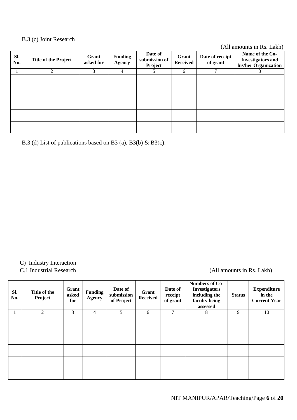#### B.3 (c) Joint Research

(All amounts in Rs. Lakh)

|            |                             |                    |                                 |                                     |                          |                             | $\overline{\phantom{a}}$                                            |
|------------|-----------------------------|--------------------|---------------------------------|-------------------------------------|--------------------------|-----------------------------|---------------------------------------------------------------------|
| SI.<br>No. | <b>Title of the Project</b> | Grant<br>asked for | <b>Funding</b><br><b>Agency</b> | Date of<br>submission of<br>Project | Grant<br><b>Received</b> | Date of receipt<br>of grant | Name of the Co-<br><b>Investigators and</b><br>his/her Organization |
|            | $\overline{2}$              | 3                  | $\overline{4}$                  |                                     | 6                        | 7                           | 8                                                                   |
|            |                             |                    |                                 |                                     |                          |                             |                                                                     |
|            |                             |                    |                                 |                                     |                          |                             |                                                                     |
|            |                             |                    |                                 |                                     |                          |                             |                                                                     |
|            |                             |                    |                                 |                                     |                          |                             |                                                                     |
|            |                             |                    |                                 |                                     |                          |                             |                                                                     |

B.3 (d) List of publications based on B3 (a), B3(b) & B3(c).

C) Industry Interaction

C.1 Industrial Research (All amounts in Rs. Lakh)

| SI.<br>No. | Title of the<br>Project | Grant<br>asked<br>for | <b>Funding</b><br><b>Agency</b> | Date of<br>submission<br>of Project | Grant<br><b>Received</b> | Date of<br>receipt<br>of grant | <b>Numbers of Co-</b><br><b>Investigators</b><br>including the<br>faculty being<br>assessed | <b>Status</b> | <b>Expenditure</b><br>in the<br><b>Current Year</b> |
|------------|-------------------------|-----------------------|---------------------------------|-------------------------------------|--------------------------|--------------------------------|---------------------------------------------------------------------------------------------|---------------|-----------------------------------------------------|
| 1          | $\overline{c}$          | 3                     | $\overline{4}$                  | 5                                   | 6                        | $\mathcal{I}$                  | 8                                                                                           | 9             | 10                                                  |
|            |                         |                       |                                 |                                     |                          |                                |                                                                                             |               |                                                     |
|            |                         |                       |                                 |                                     |                          |                                |                                                                                             |               |                                                     |
|            |                         |                       |                                 |                                     |                          |                                |                                                                                             |               |                                                     |
|            |                         |                       |                                 |                                     |                          |                                |                                                                                             |               |                                                     |
|            |                         |                       |                                 |                                     |                          |                                |                                                                                             |               |                                                     |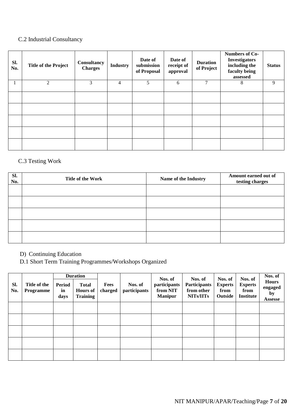## C.2 Industrial Consultancy

| Sl.<br>No. | <b>Title of the Project</b> | Consultancy<br><b>Charges</b> | <b>Industry</b> | Date of<br>submission<br>of Proposal | Date of<br>receipt of<br>approval | <b>Duration</b><br>of Project | <b>Numbers of Co-</b><br><b>Investigators</b><br>including the<br>faculty being<br>assessed | <b>Status</b> |
|------------|-----------------------------|-------------------------------|-----------------|--------------------------------------|-----------------------------------|-------------------------------|---------------------------------------------------------------------------------------------|---------------|
|            | 2                           | 3                             | $\overline{4}$  | 5                                    | 6                                 | $\tau$                        | 8                                                                                           | 9             |
|            |                             |                               |                 |                                      |                                   |                               |                                                                                             |               |
|            |                             |                               |                 |                                      |                                   |                               |                                                                                             |               |
|            |                             |                               |                 |                                      |                                   |                               |                                                                                             |               |
|            |                             |                               |                 |                                      |                                   |                               |                                                                                             |               |
|            |                             |                               |                 |                                      |                                   |                               |                                                                                             |               |

## C.3 Testing Work

| SI.<br>No. | Title of the Work | Name of the Industry | Amount earned out of<br>testing charges |
|------------|-------------------|----------------------|-----------------------------------------|
|            |                   |                      |                                         |
|            |                   |                      |                                         |
|            |                   |                      |                                         |
|            |                   |                      |                                         |
|            |                   |                      |                                         |

D) Continuing Education

D.1 Short Term Training Programmes/Workshops Organized

| Sl.<br>No. | Title of the<br>Programme | Period<br>in<br>days | <b>Duration</b><br><b>Total</b><br><b>Hours of</b><br><b>Training</b> | Fees<br>charged | Nos. of<br>participants | Nos. of<br>participants<br>from NIT<br><b>Manipur</b> | Nos. of<br>Participants<br>from other<br>NITs/IITs | Nos. of<br><b>Experts</b><br>from<br><b>Outside</b> | Nos. of<br><b>Experts</b><br>from<br><b>Institute</b> | Nos. of<br><b>Hours</b><br>engaged<br>by<br><b>Assesse</b> |
|------------|---------------------------|----------------------|-----------------------------------------------------------------------|-----------------|-------------------------|-------------------------------------------------------|----------------------------------------------------|-----------------------------------------------------|-------------------------------------------------------|------------------------------------------------------------|
|            |                           |                      |                                                                       |                 |                         |                                                       |                                                    |                                                     |                                                       |                                                            |
|            |                           |                      |                                                                       |                 |                         |                                                       |                                                    |                                                     |                                                       |                                                            |
|            |                           |                      |                                                                       |                 |                         |                                                       |                                                    |                                                     |                                                       |                                                            |
|            |                           |                      |                                                                       |                 |                         |                                                       |                                                    |                                                     |                                                       |                                                            |
|            |                           |                      |                                                                       |                 |                         |                                                       |                                                    |                                                     |                                                       |                                                            |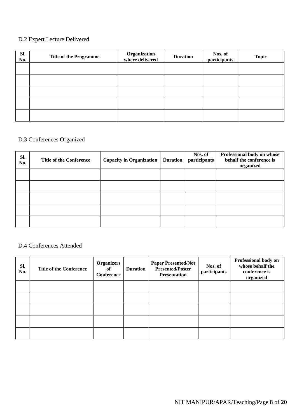## D.2 Expert Lecture Delivered

| SI.<br>No. | <b>Title of the Programme</b> | Organization<br>where delivered | <b>Duration</b> | Nos. of<br>participants | <b>Topic</b> |
|------------|-------------------------------|---------------------------------|-----------------|-------------------------|--------------|
|            |                               |                                 |                 |                         |              |
|            |                               |                                 |                 |                         |              |
|            |                               |                                 |                 |                         |              |
|            |                               |                                 |                 |                         |              |
|            |                               |                                 |                 |                         |              |

## D.3 Conferences Organized

| SI.<br>No. | <b>Title of the Conference</b> | <b>Capacity in Organization</b> | <b>Duration</b> | Nos. of<br>participants | Professional body on whose<br>behalf the conference is<br>organized |
|------------|--------------------------------|---------------------------------|-----------------|-------------------------|---------------------------------------------------------------------|
|            |                                |                                 |                 |                         |                                                                     |
|            |                                |                                 |                 |                         |                                                                     |
|            |                                |                                 |                 |                         |                                                                     |
|            |                                |                                 |                 |                         |                                                                     |
|            |                                |                                 |                 |                         |                                                                     |

## D.4 Conferences Attended

| SI.<br>No. | <b>Title of the Conference</b> | <b>Organizers</b><br>of<br><b>Conference</b> | <b>Duration</b> | <b>Paper Presented/Not</b><br><b>Presented/Poster</b><br><b>Presentation</b> | Nos. of<br>participants | Professional body on<br>whose behalf the<br>conference is<br>organized |
|------------|--------------------------------|----------------------------------------------|-----------------|------------------------------------------------------------------------------|-------------------------|------------------------------------------------------------------------|
|            |                                |                                              |                 |                                                                              |                         |                                                                        |
|            |                                |                                              |                 |                                                                              |                         |                                                                        |
|            |                                |                                              |                 |                                                                              |                         |                                                                        |
|            |                                |                                              |                 |                                                                              |                         |                                                                        |
|            |                                |                                              |                 |                                                                              |                         |                                                                        |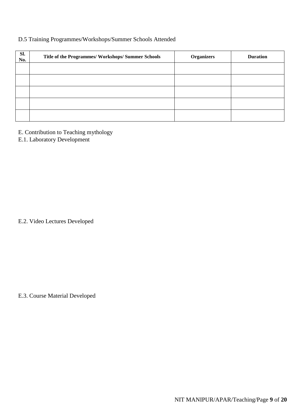## D.5 Training Programmes/Workshops/Summer Schools Attended

| Sl.<br>No. | Title of the Programmes/ Workshops/ Summer Schools | <b>Organizers</b> | <b>Duration</b> |
|------------|----------------------------------------------------|-------------------|-----------------|
|            |                                                    |                   |                 |
|            |                                                    |                   |                 |
|            |                                                    |                   |                 |
|            |                                                    |                   |                 |
|            |                                                    |                   |                 |

- E. Contribution to Teaching mythology
- E.1. Laboratory Development

E.2. Video Lectures Developed

E.3. Course Material Developed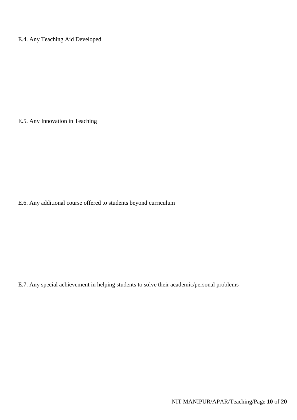E.4. Any Teaching Aid Developed

E.5. Any Innovation in Teaching

E.6. Any additional course offered to students beyond curriculum

E.7. Any special achievement in helping students to solve their academic/personal problems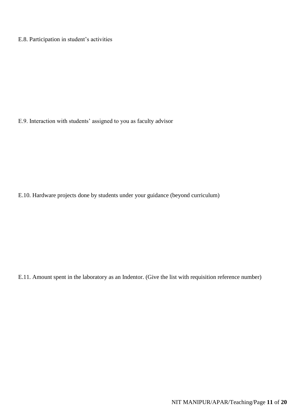E.8. Participation in student's activities

E.9. Interaction with students' assigned to you as faculty advisor

E.10. Hardware projects done by students under your guidance (beyond curriculum)

E.11. Amount spent in the laboratory as an Indentor. (Give the list with requisition reference number)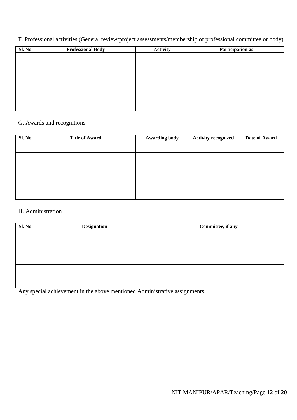F. Professional activities (General review/project assessments/membership of professional committee or body)

| Sl. No. | <b>Professional Body</b> | <b>Activity</b> | Participation as |
|---------|--------------------------|-----------------|------------------|
|         |                          |                 |                  |
|         |                          |                 |                  |
|         |                          |                 |                  |
|         |                          |                 |                  |
|         |                          |                 |                  |
|         |                          |                 |                  |
|         |                          |                 |                  |
|         |                          |                 |                  |
|         |                          |                 |                  |
|         |                          |                 |                  |

## G. Awards and recognitions

| Sl. No. | <b>Title of Award</b> | <b>Awarding body</b> | <b>Activity recognized</b> | Date of Award |
|---------|-----------------------|----------------------|----------------------------|---------------|
|         |                       |                      |                            |               |
|         |                       |                      |                            |               |
|         |                       |                      |                            |               |
|         |                       |                      |                            |               |
|         |                       |                      |                            |               |
|         |                       |                      |                            |               |

## H. Administration

| <b>Sl. No.</b> | <b>Designation</b> | Committee, if any |
|----------------|--------------------|-------------------|
|                |                    |                   |
|                |                    |                   |
|                |                    |                   |
|                |                    |                   |
|                |                    |                   |

Any special achievement in the above mentioned Administrative assignments.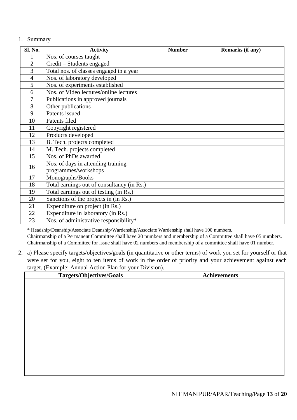#### 1. Summary

| Sl. No.        | <b>Activity</b>                                            | <b>Number</b> | Remarks (if any) |
|----------------|------------------------------------------------------------|---------------|------------------|
| $\mathbf{1}$   | Nos. of courses taught                                     |               |                  |
| $\overline{2}$ | Credit – Students engaged                                  |               |                  |
| 3              | Total nos. of classes engaged in a year                    |               |                  |
| $\overline{4}$ | Nos. of laboratory developed                               |               |                  |
| 5              | Nos. of experiments established                            |               |                  |
| 6              | Nos. of Video lectures/online lectures                     |               |                  |
| 7              | Publications in approved journals                          |               |                  |
| 8              | Other publications                                         |               |                  |
| 9              | Patents issued                                             |               |                  |
| 10             | Patents filed                                              |               |                  |
| 11             | Copyright registered                                       |               |                  |
| 12             | Products developed                                         |               |                  |
| 13             | B. Tech. projects completed                                |               |                  |
| 14             | M. Tech. projects completed                                |               |                  |
| 15             | Nos. of PhDs awarded                                       |               |                  |
| 16             | Nos. of days in attending training<br>programmes/workshops |               |                  |
| 17             | Monographs/Books                                           |               |                  |
| 18             | Total earnings out of consultancy (in Rs.)                 |               |                  |
| 19             | Total earnings out of testing (in Rs.)                     |               |                  |
| 20             | Sanctions of the projects in (in Rs.)                      |               |                  |
| 21             | Expenditure on project (in Rs.)                            |               |                  |
| 22             | Expenditure in laboratory (in Rs.)                         |               |                  |
| 23             | Nos. of administrative responsibility*                     |               |                  |

\* Headship/Deanship/Associate Deanship/Wardenship/Associate Wardenship shall have 100 numbers.

Chairmanship of a Permanent Committee shall have 20 numbers and membership of a Committee shall have 05 numbers. Chairmanship of a Committee for issue shall have 02 numbers and membership of a committee shall have 01 number.

2. a) Please specify targets/objectives/goals (in quantitative or other terms) of work you set for yourself or that were set for you, eight to ten items of work in the order of priority and your achievement against each target. (Example: Annual Action Plan for your Division).

| <b>Targets/Objectives/Goals</b> | Achievements |
|---------------------------------|--------------|
|                                 |              |
|                                 |              |
|                                 |              |
|                                 |              |
|                                 |              |
|                                 |              |
|                                 |              |
|                                 |              |
|                                 |              |
|                                 |              |
|                                 |              |
|                                 |              |
|                                 |              |
|                                 |              |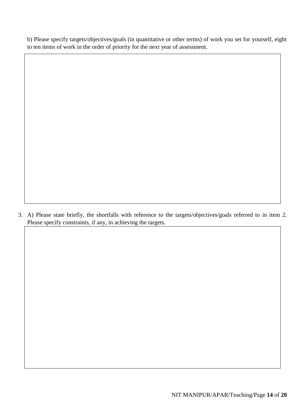b) Please specify targets/objectives/goals (in quantitative or other terms) of work you set for yourself, eight to ten items of work in the order of priority for the next year of assessment.

3. A) Please state briefly, the shortfalls with reference to the targets/objectives/goals referred to in item 2. Please specify constraints, if any, in achieving the targets.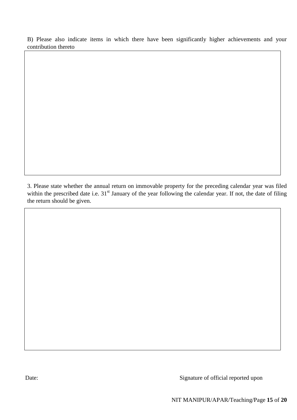B) Please also indicate items in which there have been significantly higher achievements and your contribution thereto

3. Please state whether the annual return on immovable property for the preceding calendar year was filed within the prescribed date i.e. 31<sup>st</sup> January of the year following the calendar year. If not, the date of filing the return should be given.

Date: Signature of official reported upon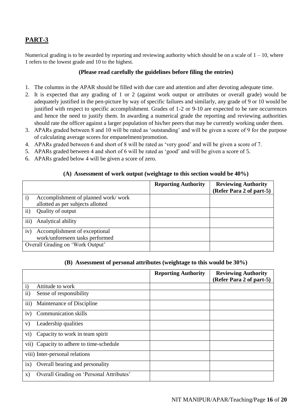## **PART-3**

Numerical grading is to be awarded by reporting and reviewing authority which should be on a scale of  $1 - 10$ , where 1 refers to the lowest grade and 10 to the highest.

#### **(Please read carefully the guidelines before filing the entries)**

- 1. The columns in the APAR should be filled with due care and attention and after devoting adequate time.
- 2. It is expected that any grading of 1 or 2 (against work output or attributes or overall grade) would be adequately justified in the pen-picture by way of specific failures and similarly, any grade of 9 or 10 would be justified with respect to specific accomplishment. Grades of 1-2 or 9-10 are expected to be rare occurrences and hence the need to justify them. In awarding a numerical grade the reporting and reviewing authorities should rate the officer against a larger population of his/her peers that may be currently working under them.
- 3. APARs graded between 8 and 10 will be rated as 'outstanding' and will be given a score of 9 for the purpose of calculating average scores for empanelment/promotion.
- 4. APARs graded between 6 and short of 8 will be rated as 'very good' and will be given a score of 7.
- 5. APARs graded between 4 and short of 6 will be rated as 'good' and will be given a score of 5.
- 6. APARs graded below 4 will be given a score of zero.

## **(A) Assessment of work output (weightage to this section would be 40%)**

|                                  |                                     | <b>Reporting Authority</b> | <b>Reviewing Authority</b> |
|----------------------------------|-------------------------------------|----------------------------|----------------------------|
|                                  |                                     |                            | (Refer Para 2 of part-5)   |
|                                  | Accomplishment of planned work/work |                            |                            |
|                                  | allotted as per subjects allotted   |                            |                            |
| $\rm ii)$                        | Quality of output                   |                            |                            |
| iii)                             | Analytical ability                  |                            |                            |
| iv)                              | Accomplishment of exceptional       |                            |                            |
|                                  | work/unforeseen tasks performed     |                            |                            |
| Overall Grading on 'Work Output' |                                     |                            |                            |

#### **(B) Assessment of personal attributes (weightage to this would be 30%)**

|               |                                          | <b>Reporting Authority</b> | <b>Reviewing Authority</b><br>(Refer Para 2 of part-5) |
|---------------|------------------------------------------|----------------------------|--------------------------------------------------------|
| $\mathbf{i}$  | Attitude to work                         |                            |                                                        |
| $\mathbf{ii}$ | Sense of responsibility                  |                            |                                                        |
| iii)          | Maintenance of Discipline                |                            |                                                        |
| iv)           | <b>Communication skills</b>              |                            |                                                        |
| V)            | Leadership qualities                     |                            |                                                        |
| $\rm{vi})$    | Capacity to work in team spirit          |                            |                                                        |
|               | vii) Capacity to adhere to time-schedule |                            |                                                        |
|               | viii) Inter-personal relations           |                            |                                                        |
| ix)           | Overall bearing and personality          |                            |                                                        |
| X)            | Overall Grading on 'Personal Attributes' |                            |                                                        |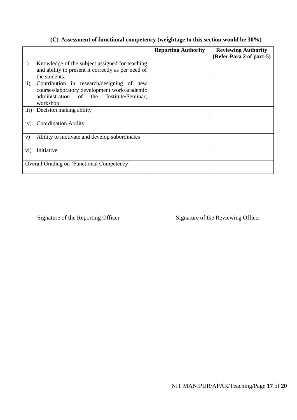## **(C) Assessment of functional competency (weightage to this section would be 30%)**

|                                            |                                                                                                                                                      | <b>Reporting Authority</b> | <b>Reviewing Authority</b><br>(Refer Para 2 of part-5) |
|--------------------------------------------|------------------------------------------------------------------------------------------------------------------------------------------------------|----------------------------|--------------------------------------------------------|
| $\mathbf{i}$                               | Knowledge of the subject assigned for teaching<br>and ability to present it correctly as per need of<br>the students.                                |                            |                                                        |
| $\mathbf{ii}$                              | Contribution in research/designing of<br>new<br>courses/laboratory development work/academic<br>administration of the Institute/Seminar,<br>workshop |                            |                                                        |
| iii)                                       | Decision making ability                                                                                                                              |                            |                                                        |
| iv)                                        | <b>Coordination Ability</b>                                                                                                                          |                            |                                                        |
| V)                                         | Ability to motivate and develop subordinates                                                                                                         |                            |                                                        |
| $\rm vi)$                                  | Initiative                                                                                                                                           |                            |                                                        |
| Overall Grading on 'Functional Competency' |                                                                                                                                                      |                            |                                                        |

Signature of the Reporting Officer Signature of the Reviewing Officer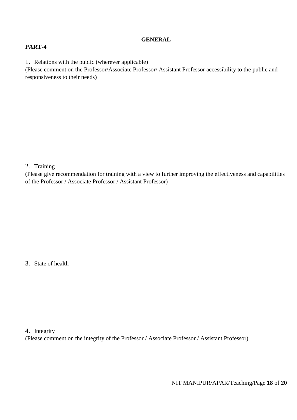## **GENERAL**

## **PART-4**

1. Relations with the public (wherever applicable)

(Please comment on the Professor/Associate Professor/ Assistant Professor accessibility to the public and responsiveness to their needs)

#### 2. Training

(Please give recommendation for training with a view to further improving the effectiveness and capabilities of the Professor / Associate Professor / Assistant Professor)

3. State of health

4. Integrity

(Please comment on the integrity of the Professor / Associate Professor / Assistant Professor)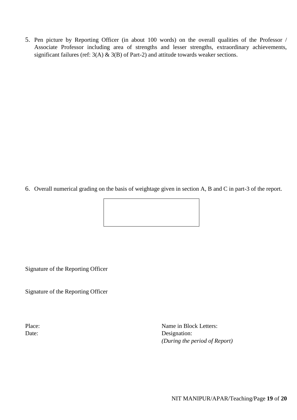5. Pen picture by Reporting Officer (in about 100 words) on the overall qualities of the Professor / Associate Professor including area of strengths and lesser strengths, extraordinary achievements, significant failures (ref:  $3(A)$  &  $3(B)$  of Part-2) and attitude towards weaker sections.

6. Overall numerical grading on the basis of weightage given in section A, B and C in part-3 of the report.



Signature of the Reporting Officer

Signature of the Reporting Officer

Place: Name in Block Letters: Date: Designation: *(During the period of Report)*